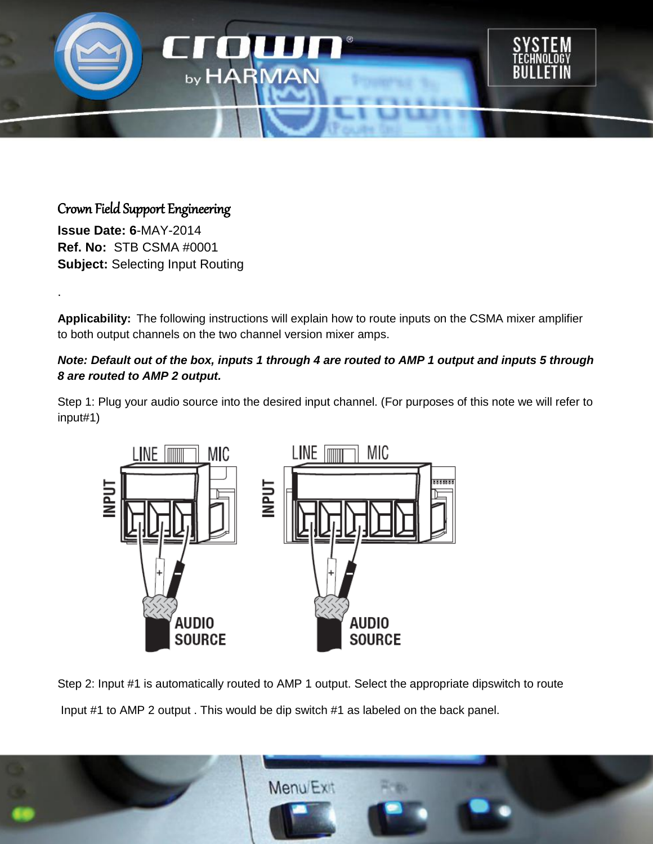

## Crown Field Support Engineering

**Issue Date: 6**-MAY-2014 **Ref. No:** STB CSMA #0001 **Subject:** Selecting Input Routing

.

**Applicability:** The following instructions will explain how to route inputs on the CSMA mixer amplifier to both output channels on the two channel version mixer amps.

## *Note: Default out of the box, inputs 1 through 4 are routed to AMP 1 output and inputs 5 through 8 are routed to AMP 2 output.*

Step 1: Plug your audio source into the desired input channel. (For purposes of this note we will refer to input#1)



Step 2: Input #1 is automatically routed to AMP 1 output. Select the appropriate dipswitch to route Input #1 to AMP 2 output . This would be dip switch #1 as labeled on the back panel.